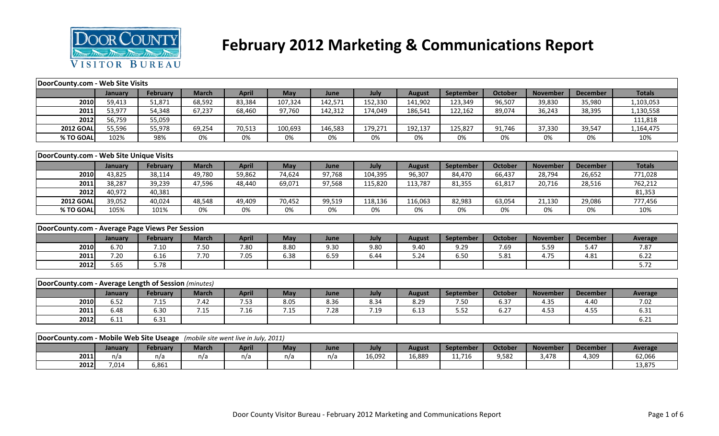

## **February 2012 Marketing & Communications Report**

| DoorCounty.com - Web Site Visits                                              |         |                 |              |              |            |         |         |               |                  |                |                 |                 |                |
|-------------------------------------------------------------------------------|---------|-----------------|--------------|--------------|------------|---------|---------|---------------|------------------|----------------|-----------------|-----------------|----------------|
|                                                                               | January | February        | <b>March</b> | <b>April</b> | <b>May</b> | June    | July    | <b>August</b> | September        | <b>October</b> | <b>November</b> | <b>December</b> | <b>Totals</b>  |
| 2010                                                                          | 59,413  | 51,871          | 68,592       | 83,384       | 107,324    | 142,571 | 152,330 | 141,902       | 123,349          | 96,507         | 39,830          | 35,980          | 1,103,053      |
| 2011                                                                          | 53,977  | 54,348          | 67,237       | 68,460       | 97,760     | 142,312 | 174,049 | 186,541       | 122,162          | 89,074         | 36,243          | 38,395          | 1,130,558      |
| 2012                                                                          | 56,759  | 55,059          |              |              |            |         |         |               |                  |                |                 |                 | 111,818        |
| <b>2012 GOAL</b>                                                              | 55,596  | 55,978          | 69,254       | 70,513       | 100,693    | 146,583 | 179,271 | 192,137       | 125,827          | 91,746         | 37,330          | 39,547          | 1,164,475      |
| % TO GOAL                                                                     | 102%    | 98%             | 0%           | 0%           | 0%         | 0%      | 0%      | 0%            | 0%               | 0%             | 0%              | 0%              | 10%            |
|                                                                               |         |                 |              |              |            |         |         |               |                  |                |                 |                 |                |
| DoorCounty.com - Web Site Unique Visits                                       |         |                 |              |              |            |         |         |               |                  |                |                 |                 |                |
|                                                                               | January | <b>February</b> | <b>March</b> | <b>April</b> | May        | June    | July    | <b>August</b> | September        | <b>October</b> | <b>November</b> | <b>December</b> | <b>Totals</b>  |
| 2010                                                                          | 43,825  | 38,114          | 49,780       | 59,862       | 74,624     | 97,768  | 104,395 | 96,307        | 84,470           | 66,437         | 28,794          | 26,652          | 771,028        |
| 2011                                                                          | 38,287  | 39,239          | 47,596       | 48,440       | 69,071     | 97,568  | 115,820 | 113,787       | 81,355           | 61,817         | 20,716          | 28,516          | 762,212        |
| 2012                                                                          | 40,972  | 40,381          |              |              |            |         |         |               |                  |                |                 |                 | 81,353         |
| <b>2012 GOAL</b>                                                              | 39,052  | 40,024          | 48,548       | 49,409       | 70,452     | 99,519  | 118,136 | 116,063       | 82,983           | 63,054         | 21,130          | 29,086          | 777,456        |
| % TO GOAL                                                                     | 105%    | 101%            | 0%           | 0%           | 0%         | 0%      | 0%      | 0%            | 0%               | 0%             | 0%              | 0%              | 10%            |
|                                                                               |         |                 |              |              |            |         |         |               |                  |                |                 |                 |                |
| DoorCounty.com - Average Page Views Per Session                               |         |                 |              |              |            |         |         |               |                  |                |                 |                 |                |
|                                                                               | January | <b>February</b> | <b>March</b> | <b>April</b> | May        | June    | July    | <b>August</b> | September        | <b>October</b> | <b>November</b> | <b>December</b> | <b>Average</b> |
| 2010                                                                          | 6.70    | 7.10            | 7.50         | 7.80         | 8.80       | 9.30    | 9.80    | 9.40          | 9.29             | 7.69           | 5.59            | 5.47            | 7.87           |
| 2011                                                                          | 7.20    | 6.16            | 7.70         | 7.05         | 6.38       | 6.59    | 6.44    | 5.24          | 6.50             | 5.81           | 4.75            | 4.81            | 6.22           |
| 2012                                                                          | 5.65    | 5.78            |              |              |            |         |         |               |                  |                |                 |                 | 5.72           |
|                                                                               |         |                 |              |              |            |         |         |               |                  |                |                 |                 |                |
| DoorCounty.com - Average Length of Session (minutes)                          |         |                 |              |              |            |         |         |               |                  |                |                 |                 |                |
|                                                                               | January | February        | <b>March</b> | <b>April</b> | May        | June    | July    | <b>August</b> | <b>September</b> | <b>October</b> | <b>November</b> | <b>December</b> | <b>Average</b> |
| 2010                                                                          | 6.52    | 7.15            | 7.42         | 7.53         | 8.05       | 8.36    | 8.34    | 8.29          | 7.50             | 6.37           | 4.35            | 4.40            | 7.02           |
| 2011                                                                          | 6.48    | 6.30            | 7.15         | 7.16         | 7.15       | 7.28    | 7.19    | 6.13          | 5.52             | 6.27           | 4.53            | 4.55            | 6.31           |
| 2012                                                                          | 6.11    | 6.31            |              |              |            |         |         |               |                  |                |                 |                 | 6.21           |
|                                                                               |         |                 |              |              |            |         |         |               |                  |                |                 |                 |                |
| DoorCounty.com - Mobile Web Site Useage (mobile site went live in July, 2011) |         |                 |              |              |            |         |         |               |                  |                |                 |                 |                |
|                                                                               | January | <b>February</b> | <b>March</b> | <b>April</b> | May        | June    | July    | <b>August</b> | September        | <b>October</b> | <b>November</b> | <b>December</b> | <b>Average</b> |
| 2011                                                                          | n/a     | n/a             | n/a          | n/a          | n/a        | n/a     | 16,092  | 16,889        | 11,716           | 9,582          | 3,478           | 4,309           | 62,066         |
| 2012                                                                          | 7,014   | 6,861           |              |              |            |         |         |               |                  |                |                 |                 | 13,875         |
|                                                                               |         |                 |              |              |            |         |         |               |                  |                |                 |                 |                |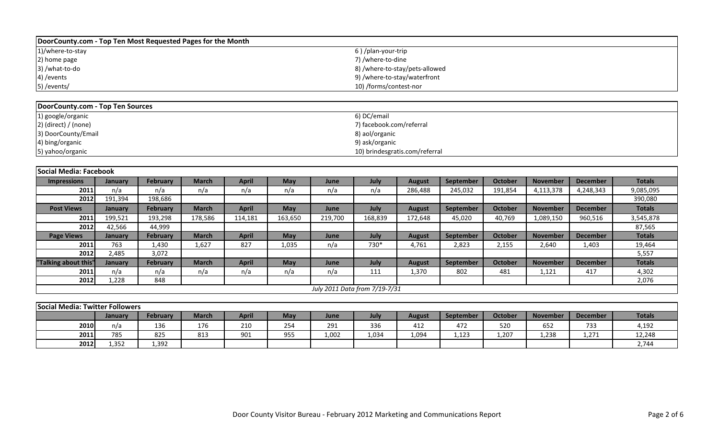| DoorCounty.com - Top Ten Most Requested Pages for the Month |                                |
|-------------------------------------------------------------|--------------------------------|
| 1)/where-to-stay                                            | 6)/plan-your-trip              |
| 2) home page                                                | 7) /where-to-dine              |
| 3) /what-to-do                                              | 8) /where-to-stay/pets-allowed |
| 4) / events                                                 | 9) /where-to-stay/waterfront   |
| 5) /events/                                                 | 10) /forms/contest-nor         |

| DoorCounty.com - Top Ten Sources |                                |
|----------------------------------|--------------------------------|
| 1) google/organic                | 6) DC/email                    |
| $2)$ (direct) / (none)           | 7) facebook.com/referral       |
| 3) DoorCounty/Email              | 8) aol/organic                 |
| 4) bing/organic                  | 9) ask/organic                 |
| 5) yahoo/organic                 | 10) brindesgratis.com/referral |

| Social Media: Facebook |         |                 |              |              |            |                               |             |               |           |                |                 |                 |               |
|------------------------|---------|-----------------|--------------|--------------|------------|-------------------------------|-------------|---------------|-----------|----------------|-----------------|-----------------|---------------|
| <b>Impressions</b>     | January | <b>February</b> | <b>March</b> | <b>April</b> | May        | June                          | July        | <b>August</b> | September | <b>October</b> | <b>November</b> | <b>December</b> | <b>Totals</b> |
| 2011                   | n/a     | n/a             | n/a          | n/a          | n/a        | n/a                           | n/a         | 286,488       | 245,032   | 191,854        | 4,113,378       | 4,248,343       | 9,085,095     |
| 2012                   | 191,394 | 198,686         |              |              |            |                               |             |               |           |                |                 |                 | 390,080       |
| <b>Post Views</b>      | January | <b>February</b> | <b>March</b> | <b>April</b> | May        | June                          | July        | <b>August</b> | September | <b>October</b> | <b>November</b> | <b>December</b> | <b>Totals</b> |
| 2011                   | 199,521 | 193,298         | 178,586      | 114,181      | 163,650    | 219,700                       | 168,839     | 172,648       | 45,020    | 40,769         | 1,089,150       | 960,516         | 3,545,878     |
| 2012                   | 42,566  | 44,999          |              |              |            |                               |             |               |           |                |                 |                 | 87,565        |
| <b>Page Views</b>      | January | <b>February</b> | <b>March</b> | <b>April</b> | May        | <b>June</b>                   | July        | <b>August</b> | September | <b>October</b> | <b>November</b> | <b>December</b> | <b>Totals</b> |
| 2011                   | 763     | 1,430           | 1,627        | 827          | 1,035      | n/a                           | 730*        | 4,761         | 2,823     | 2,155          | 2,640           | 1,403           | 19,464        |
| 2012                   | 2,485   | 3,072           |              |              |            |                               |             |               |           |                |                 |                 | 5,557         |
| "Talking about this"   | January | <b>February</b> | <b>March</b> | <b>April</b> | <b>May</b> | June                          | <b>July</b> | <b>August</b> | September | <b>October</b> | <b>November</b> | <b>December</b> | <b>Totals</b> |
| 2011                   | n/a     | n/a             | n/a          | n/a          | n/a        | n/a                           | 111         | 1,370         | 802       | 481            | 1,121           | 417             | 4,302         |
| 2012                   | 1,228   | 848             |              |              |            |                               |             |               |           |                |                 |                 | 2,076         |
|                        |         |                 |              |              |            | July 2011 Data from 7/19-7/31 |             |               |           |                |                 |                 |               |

| Social Media: Twitter Followers |                                                                                                                                                                            |       |     |     |     |       |       |       |       |       |       |       |        |  |  |
|---------------------------------|----------------------------------------------------------------------------------------------------------------------------------------------------------------------------|-------|-----|-----|-----|-------|-------|-------|-------|-------|-------|-------|--------|--|--|
|                                 | <b>Totals</b><br>April<br><b>October</b><br>February<br>July<br><b>March</b><br><b>November</b><br><b>May</b><br><b>December</b><br>August<br>September<br>June<br>January |       |     |     |     |       |       |       |       |       |       |       |        |  |  |
| 2010                            | n/a                                                                                                                                                                        | 136   | 176 | 210 | 254 | 291   | 336   | 412   | 472   | 520   | 652   | 733   | 4,192  |  |  |
| 2011                            | 785                                                                                                                                                                        | 825   | 813 | 901 | 955 | 1,002 | 1,034 | 1,094 | 1,123 | 1,207 | 1,238 | 1,271 | 12,248 |  |  |
| 2012                            | 1.352                                                                                                                                                                      | 1,392 |     |     |     |       |       |       |       |       |       |       | 2,744  |  |  |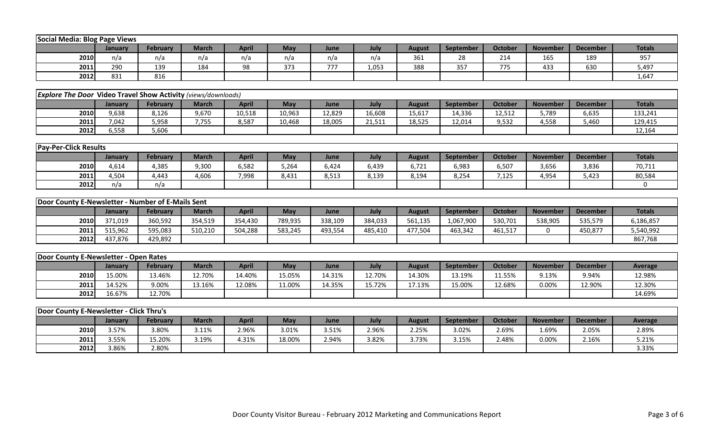|      | Social Media: Blog Page Views                                                                                                                          |     |     |     |     |     |       |     |     |     |     |     |       |  |  |
|------|--------------------------------------------------------------------------------------------------------------------------------------------------------|-----|-----|-----|-----|-----|-------|-----|-----|-----|-----|-----|-------|--|--|
|      | April<br><b>Totals</b><br>July<br>February<br>October<br>May<br><b>November</b><br>March.<br>September<br><b>December</b><br>August<br>June<br>January |     |     |     |     |     |       |     |     |     |     |     |       |  |  |
| 2010 | n/a                                                                                                                                                    | n/a | n/a | n/a | n/a | n/a | n/a   | 361 | 28  | 214 | 165 | 189 | 957   |  |  |
| 2011 | 290                                                                                                                                                    | 139 | 184 | 98  | 373 | 777 | 1,053 | 388 | 357 | 775 | 433 | 630 | 5,497 |  |  |
| 2012 | 831                                                                                                                                                    | 816 |     |     |     |     |       |     |     |     |     |     | 1,647 |  |  |

|                                                                                                                                                                                          | <b>Explore The Door Video Travel Show Activity</b> (views/downloads) |       |           |        |        |        |        |        |        |        |       |       |         |  |
|------------------------------------------------------------------------------------------------------------------------------------------------------------------------------------------|----------------------------------------------------------------------|-------|-----------|--------|--------|--------|--------|--------|--------|--------|-------|-------|---------|--|
| April<br><b>Totals</b><br><b>October</b><br>May<br><b>March</b><br><b>February</b><br><b>November</b><br><b>December</b><br><b>September</b><br>August<br><b>July</b><br>June<br>Januarv |                                                                      |       |           |        |        |        |        |        |        |        |       |       |         |  |
| 2010                                                                                                                                                                                     | 9,638                                                                | 8,126 | 9,670     | 10,518 | 10,963 | 12,829 | 16,608 | 15,617 | 4,336  | 12,512 | 5,789 | 6,635 | 133,241 |  |
| 2011                                                                                                                                                                                     | 7,042                                                                | 5,958 | フフド<br>,, | 8,587  | 10,468 | 18,005 | 21,511 | 18,525 | 12,014 | 9,532  | 4,558 | 5,460 | 129,415 |  |
| 2012                                                                                                                                                                                     | 6,558                                                                | 606,  |           |        |        |        |        |        |        |        |       |       | 12,164  |  |

|      | <b>Pay-Per-Click Results</b> |                 |              |       |       |       |             |        |                |                |                 |                 |               |  |
|------|------------------------------|-----------------|--------------|-------|-------|-------|-------------|--------|----------------|----------------|-----------------|-----------------|---------------|--|
|      | January                      | <b>February</b> | <b>March</b> | April | May   | June  | <b>July</b> | August | September      | <b>October</b> | <b>November</b> | <b>December</b> | <b>Totals</b> |  |
| 2010 | 4,614                        | 4,385           | 9,300        | 6,582 | 5,264 | 6,424 | 6,439       | 6,721  | 6,983          | 6,507          | 3,656           | 3,836           | 70,711        |  |
| 2011 | 4,504                        | 4,443           | 4,606        | 7,998 | 8,431 | 8,513 | 8,139       | 8,194  | 0.251<br>8,254 | 7,125          | 4,954           | 5,423           | 80,584        |  |
| 2012 | n/a                          | n/a             |              |       |       |       |             |        |                |                |                 |                 |               |  |

|      | Number of E-Mails Sent<br>Door County E-Newsletter -                                                                                                                       |         |         |         |         |         |         |         |           |         |         |         |           |  |  |
|------|----------------------------------------------------------------------------------------------------------------------------------------------------------------------------|---------|---------|---------|---------|---------|---------|---------|-----------|---------|---------|---------|-----------|--|--|
|      | April<br><b>Totals</b><br>May<br>October<br><b>March</b><br><b>February</b><br>July<br><b>November</b><br><b>December</b><br>September<br>August<br>June<br><b>January</b> |         |         |         |         |         |         |         |           |         |         |         |           |  |  |
| 2010 | 371,019                                                                                                                                                                    | 360,592 | 354,519 | 354,430 | 789,935 | 338,109 | 384,033 | 561,135 | 1,067,900 | 530,701 | 538,905 | 535,579 | 6,186,857 |  |  |
| 2011 | 515,962                                                                                                                                                                    | 595,083 | 510,210 | 504,288 | 583,245 | 493,554 | 485,410 | 477,504 | 463,342   | 461,517 |         | 450,87  | 5,540,992 |  |  |
| 2012 | 437,876                                                                                                                                                                    | 429,892 |         |         |         |         |         |         |           |         |         |         | 867,768   |  |  |

|                                                                                                                                                               | Door County E-Newsletter - Open Rates |        |        |        |        |        |        |        |        |        |       |        |        |  |
|---------------------------------------------------------------------------------------------------------------------------------------------------------------|---------------------------------------|--------|--------|--------|--------|--------|--------|--------|--------|--------|-------|--------|--------|--|
| April<br>October<br>May<br>July<br><b>February</b><br><b>November</b><br>December<br><b>Average</b><br>March<br><b>August</b><br>September<br>June<br>January |                                       |        |        |        |        |        |        |        |        |        |       |        |        |  |
| 2010                                                                                                                                                          | 15.00%                                | 13.46% | 12.70% | 14.40% | 15.05% | 14.31% | 12.70% | 14.30% | 13.19% | 11.55% | 9.13% | 9.94%  | 12.98% |  |
| 2011                                                                                                                                                          | 14.52%                                | 9.00%  | .3.16% | 12.08% | 11.00% | 14.35% | 15.72% | 17.13% | 15.00% | 12.68% | 0.00% | 12.90% | 12.30% |  |
| 2012                                                                                                                                                          | 16.67%                                | 12.70% |        |        |        |        |        |        |        |        |       |        | 14.69% |  |

| Door County E-Newsletter - Click Thru's                                                                                                                                     |       |        |       |       |        |       |       |       |       |       |          |       |       |  |
|-----------------------------------------------------------------------------------------------------------------------------------------------------------------------------|-------|--------|-------|-------|--------|-------|-------|-------|-------|-------|----------|-------|-------|--|
| April<br>July<br><b>October</b><br><b>February</b><br>May<br><b>November</b><br>September<br><b>December</b><br>August<br><b>March</b><br><b>Average</b><br>June<br>Januarv |       |        |       |       |        |       |       |       |       |       |          |       |       |  |
| 2010                                                                                                                                                                        | 3.57% | 3.80%  | 3.11% | 2.96% | 3.01%  | 3.51% | 2.96% | 2.25% | 3.02% | 2.69% | 1.69%    | 2.05% | 2.89% |  |
| 2011                                                                                                                                                                        | 3.55% | 15.20% | 3.19% | 4.31% | 18.00% | 2.94% | 3.82% | 3.73% | 3.15% | 2.48% | $0.00\%$ | 2.16% | 5.21% |  |
| 2012                                                                                                                                                                        | 3.86% | 2.80%  |       |       |        |       |       |       |       |       |          |       | 3.33% |  |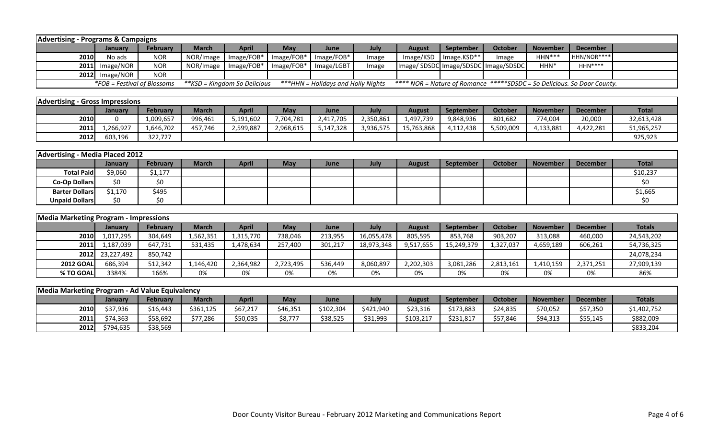|                                                                                                                                                                                     | <b>Advertising - Programs &amp; Campaigns</b> |                 |           |              |            |            |       |                                     |                                       |         |                  |                 |  |
|-------------------------------------------------------------------------------------------------------------------------------------------------------------------------------------|-----------------------------------------------|-----------------|-----------|--------------|------------|------------|-------|-------------------------------------|---------------------------------------|---------|------------------|-----------------|--|
|                                                                                                                                                                                     | Januarv                                       | <b>February</b> | March     | <b>April</b> | <b>May</b> | June       | July  | August                              | <b>September</b>                      | October | <b>November</b>  | <b>December</b> |  |
| <b>2010</b>                                                                                                                                                                         | No ads                                        | <b>NOR</b>      | NOR/Image | Image/FOB*   | Image/FOB* | Image/FOB* | Image |                                     | $Image/KSD$   Image.KSD <sup>**</sup> | Image   | $HHN***$         | HHN/NOR****     |  |
|                                                                                                                                                                                     | $2011$ Image/NOR                              | <b>NOR</b>      | NOR/Image | Image/FOB*   | Image/FOB* | Image/LGBT | Image | Image/SDSDC Image/SDSDC Image/SDSDC |                                       |         | HHN <sup>*</sup> | $HHN***$        |  |
|                                                                                                                                                                                     | $2012$ Image/NOR                              | <b>NOR</b>      |           |              |            |            |       |                                     |                                       |         |                  |                 |  |
| <i>*FOB = Festival of Blossoms</i><br>***HHN = Holidays and Holly Nights<br>**** NOR = Nature of Romance *****SDSDC = So Delicious. So Door County.<br>**KSD = Kingdom So Delicious |                                               |                 |           |              |            |            |       |                                     |                                       |         |                  |                 |  |

| <b>Advertising - Gross Impressions</b> |          |           |              |           |           |           |           |            |                  |           |                 |                 |              |
|----------------------------------------|----------|-----------|--------------|-----------|-----------|-----------|-----------|------------|------------------|-----------|-----------------|-----------------|--------------|
|                                        | January  | Februarv  | <b>March</b> | April     | May       | June      | July      | August     | <b>September</b> | October   | <b>November</b> | <b>December</b> | <b>Total</b> |
| 2010                                   |          | 1,009,657 | 996,461      | 5,191,602 | 7,704,781 | 2,417,705 | 2,350,861 | 1,497,739  | 9,848,936        | 801,682   | 774,004         | 20,000          | 32,613,428   |
| 2011                                   | ,266,927 | 1,646,702 | 457,746      | 2,599,887 | 2,968,615 | 5,147,328 | 3,936,575 | 15,763,868 | 4,112,438        | 5,509,009 | 4,133,881       | 4,422,281       | 51,965,257   |
| 2012                                   | 603,196  | 322,727   |              |           |           |           |           |            |                  |           |                 |                 | 925,923      |

| <b>Advertising - Media Placed 2012</b> |                |                 |              |              |     |      |      |        |           |         |                 |                 |              |
|----------------------------------------|----------------|-----------------|--------------|--------------|-----|------|------|--------|-----------|---------|-----------------|-----------------|--------------|
|                                        | <b>January</b> | <b>February</b> | <b>March</b> | <b>April</b> | May | June | July | August | September | October | <b>November</b> | <b>December</b> | <b>Total</b> |
| <b>Total Paid</b>                      | \$9,060        | \$1,177         |              |              |     |      |      |        |           |         |                 |                 | \$10,237     |
| Co-Op Dollars                          | \$0            | \$0             |              |              |     |      |      |        |           |         |                 |                 |              |
| <b>Barter Dollars</b>                  | \$1,170        | \$495           |              |              |     |      |      |        |           |         |                 |                 | \$1,665      |
| <b>Unpaid Dollars</b>                  | \$0            | S0              |              |              |     |      |      |        |           |         |                 |                 |              |

|                  | Media Marketing Program - Impressions |          |          |           |           |         |            |               |            |                |                 |                 |               |
|------------------|---------------------------------------|----------|----------|-----------|-----------|---------|------------|---------------|------------|----------------|-----------------|-----------------|---------------|
|                  | <b>January</b>                        | February | March    | April     | May       | June    | July       | <b>August</b> | September  | <b>October</b> | <b>November</b> | <b>December</b> | <b>Totals</b> |
| <b>2010</b>      | 1,017,295                             | 304,649  | ,562,351 | 1,315,770 | 738,046   | 213,955 | 16,055,478 | 805,595       | 853,768    | 903,207        | 313,088         | 460,000         | 24,543,202    |
| 2011             | .,187,039                             | 647,731  | 531,435  | 1,478,634 | 257,400   | 301,217 | 18,973,348 | 9,517,655     | 15,249,379 | 1,327,037      | 4,659,189       | 606,261         | 54,736,325    |
| 2012             | 23,227,492                            | 850,742  |          |           |           |         |            |               |            |                |                 |                 | 24,078,234    |
| <b>2012 GOAL</b> | 686,394                               | 512,342  | .146.420 | 2,364,982 | 2,723,495 | 536,449 | 8,060,897  | 2,202,303     | 3,081,286  | 2,813,161      | 1,410,159       | 2,371,251       | 27,909,139    |
| % TO GOAL        | 3384%                                 | 166%     | 0%       | 0%        | 0%        | 0%      | 0%         | 0%            | 0%         | 0%             | 0%              | 0%              | 86%           |

| Media Marketing Program - Ad Value Equivalency |                |                 |              |              |          |           |           |               |                  |          |                 |                 |               |
|------------------------------------------------|----------------|-----------------|--------------|--------------|----------|-----------|-----------|---------------|------------------|----------|-----------------|-----------------|---------------|
|                                                | <b>January</b> | <b>February</b> | <b>March</b> | <b>April</b> | May      | June      | July      | <b>August</b> | <b>September</b> | October  | <b>November</b> | <b>December</b> | <b>Totals</b> |
| 2010                                           | \$37,936       | \$16,443        | \$361,125    | \$67,217     | \$46,351 | \$102,304 | \$421,940 | \$23,316      | \$173,883        | \$24,835 | \$70,052        | \$57,350        | \$1,402,752   |
| 2011                                           | \$74,363       | \$58,692        | \$77,286     | \$50,035     | \$8,777  | \$38,525  | \$31,993  | \$103,217     | \$231,817        | \$57,846 | \$94,313        | \$55,145        | \$882,009     |
| 2012                                           | \$794,635      | \$38,569        |              |              |          |           |           |               |                  |          |                 |                 | \$833,204     |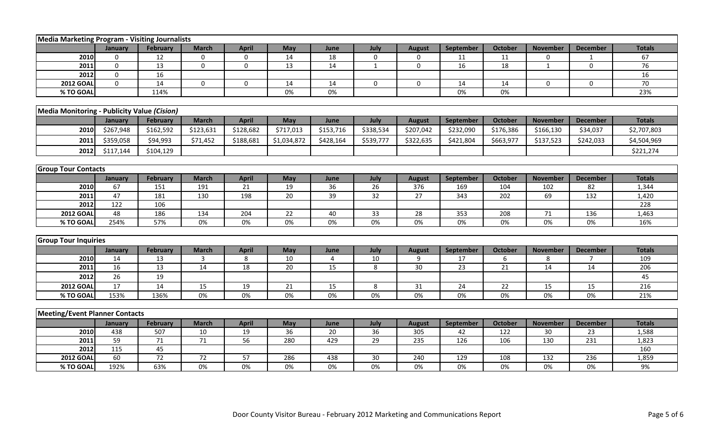| Media Marketing Program - Visiting Journalists |                |                        |                    |                    |             |            |             |                      |                  |                       |                       |                       |                        |
|------------------------------------------------|----------------|------------------------|--------------------|--------------------|-------------|------------|-------------|----------------------|------------------|-----------------------|-----------------------|-----------------------|------------------------|
|                                                | January        | February               | <b>March</b>       | <b>April</b>       | May         | June       | July        | <b>August</b>        | <b>September</b> | <b>October</b>        | <b>November</b>       | <b>December</b>       | <b>Totals</b>          |
| 2010                                           | $\Omega$       | 12                     | $\mathbf 0$        | 0                  | 14          | 18         | 0           | 0                    | 11               | 11                    | 0                     | -1                    | 67                     |
| 2011                                           | $\mathbf 0$    | 13                     | $\mathbf 0$        | $\mathbf 0$        | 13          | 14         | 1           | $\mathbf 0$          | 16               | 18                    | 1                     | $\boldsymbol{0}$      | 76                     |
| 2012                                           | 0              | 16                     |                    |                    |             |            |             |                      |                  |                       |                       |                       | 16                     |
| <b>2012 GOAL</b>                               | $\mathbf 0$    | 14                     | $\mathbf 0$        | $\mathbf 0$        | 14          | 14         | $\mathbf 0$ | $\boldsymbol{0}$     | 14               | 14                    | $\mathbf 0$           | $\boldsymbol{0}$      | 70                     |
| % TO GOAL                                      |                | 114%                   |                    |                    | $0\%$       | $0\%$      |             |                      | 0%               | $0\%$                 |                       |                       | 23%                    |
|                                                |                |                        |                    |                    |             |            |             |                      |                  |                       |                       |                       |                        |
| Media Monitoring - Publicity Value (Cision)    |                |                        |                    |                    |             |            |             |                      |                  |                       |                       |                       |                        |
|                                                | January        | <b>February</b>        | <b>March</b>       | <b>April</b>       | May         | June       | July        | <b>August</b>        | September        | <b>October</b>        | <b>November</b>       | <b>December</b>       | <b>Totals</b>          |
| 2010                                           | \$267,948      | \$162,592              | \$123,631          | \$128,682          | \$717,013   | \$153,716  | \$338,534   | \$207,042            | \$232,090        | \$176,386             | \$166,130             | \$34,037              | \$2,707,803            |
| 2011                                           | \$359,058      | \$94,993               | \$71,452           | \$188,681          | \$1,034,872 | \$428,164  | \$539,777   | \$322,635            | \$421,804        | \$663,977             | \$137,523             | \$242,033             | \$4,504,969            |
| 2012                                           | \$117,144      | \$104,129              |                    |                    |             |            |             |                      |                  |                       |                       |                       | \$221,274              |
|                                                |                |                        |                    |                    |             |            |             |                      |                  |                       |                       |                       |                        |
| <b>Group Tour Contacts</b>                     |                |                        |                    |                    |             |            |             |                      |                  |                       |                       |                       |                        |
|                                                | January        | <b>February</b>        | <b>March</b>       | <b>April</b>       | <b>May</b>  | June       | July        | <b>August</b>        | September        | <b>October</b>        | <b>November</b>       | <b>December</b>       | <b>Totals</b>          |
| 2010                                           | 67             | 151                    | 191                | 21                 | 19          | 36         | 26          | 376                  | 169              | 104                   | 102                   | 82                    | 1,344                  |
| 2011                                           | 47             | 181                    | 130                | 198                | 20          | 39         | 32          | $\overline{27}$      | 343              | $\overline{202}$      | 69                    | 132                   | 1,420                  |
| 2012                                           | $\frac{1}{2}$  | 106                    |                    |                    |             |            |             |                      |                  |                       |                       |                       | $\overline{228}$       |
| <b>2012 GOAL</b>                               | 48             | 186                    | 134                | 204                | 22          | 40         | 33          | 28                   | 353              | 208                   | 71                    | 136                   | 1,463                  |
| % TO GOAL                                      | 254%           | 57%                    | 0%                 | 0%                 | 0%          | 0%         | 0%          | 0%                   | 0%               | 0%                    | 0%                    | 0%                    | 16%                    |
|                                                |                |                        |                    |                    |             |            |             |                      |                  |                       |                       |                       |                        |
| <b>Group Tour Inquiries</b>                    |                |                        |                    |                    |             |            |             |                      |                  |                       |                       |                       |                        |
|                                                | January        | February               | <b>March</b>       | <b>April</b>       | May         | June       | July        | <b>August</b>        | September        | <b>October</b>        | <b>November</b>       | <b>December</b>       | <b>Totals</b>          |
| 2010                                           | 14             | 13                     | 3                  | 8                  | 10          | 4          | 10          | 9                    | 17               | 6                     | 8                     | $\overline{7}$        | 109                    |
| 2011                                           | 16             | 13                     | 14                 | 18                 | 20          | 15         | 8           | 30                   | 23               | 21                    | 14                    | 14                    | 206                    |
| 2012                                           | 26             | 19                     |                    |                    |             |            |             |                      |                  |                       |                       |                       | 45                     |
| <b>2012 GOAL</b>                               | 17             | 14                     | 15                 | 19                 | 21          | 15         | 8           | 31                   | 24               | 22                    | 15                    | 15                    | 216                    |
| % TO GOAL                                      | 153%           | 136%                   | $0\%$              | $0\%$              | $0\%$       | $0\%$      | $0\%$       | 0%                   | $0\%$            | $0\%$                 | 0%                    | $0\%$                 | 21%                    |
|                                                |                |                        |                    |                    |             |            |             |                      |                  |                       |                       |                       |                        |
| <b>Meeting/Event Planner Contacts</b>          |                |                        |                    |                    |             |            |             |                      |                  |                       |                       |                       |                        |
| 2010                                           | January<br>438 | <b>February</b><br>507 | <b>March</b><br>10 | <b>April</b><br>19 | May<br>36   | June<br>20 | July<br>36  | <b>August</b><br>305 | September<br>42  | <b>October</b><br>122 | <b>November</b><br>30 | <b>December</b><br>23 | <b>Totals</b><br>1,588 |
| 2011                                           | 59             | $71\,$                 | $71\,$             | 56                 | 280         | 429        | 29          | 235                  | 126              | 106                   | 130                   | 231                   | 1,823                  |
| 2012                                           | 115            | 45                     |                    |                    |             |            |             |                      |                  |                       |                       |                       | 160                    |
| <b>2012 GOAI</b>                               | 60             | $\overline{72}$        | $\overline{72}$    | 57                 | 286         | 438        | 30          | 240                  | 129              | 108                   | 132                   | 236                   | 1,859                  |
| % TO GOAL                                      | 192%           | 63%                    | $0\%$              | 0%                 | 0%          | 0%         | 0%          | 0%                   | 0%               | 0%                    | 0%                    | 0%                    | 9%                     |